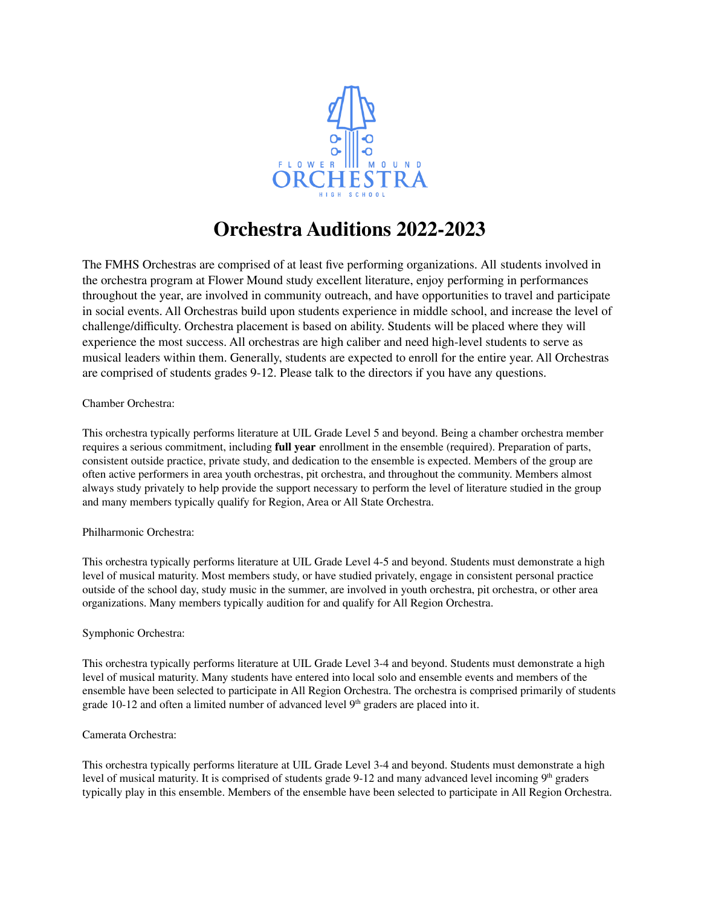

## **Orchestra Auditions 2022-2023**

The FMHS Orchestras are comprised of at least five performing organizations. All students involved in the orchestra program at Flower Mound study excellent literature, enjoy performing in performances throughout the year, are involved in community outreach, and have opportunities to travel and participate in social events. All Orchestras build upon students experience in middle school, and increase the level of challenge/difficulty. Orchestra placement is based on ability. Students will be placed where they will experience the most success. All orchestras are high caliber and need high-level students to serve as musical leaders within them. Generally, students are expected to enroll for the entire year. All Orchestras are comprised of students grades 9-12. Please talk to the directors if you have any questions.

#### Chamber Orchestra:

This orchestra typically performs literature at UIL Grade Level 5 and beyond. Being a chamber orchestra member requires a serious commitment, including **full year** enrollment in the ensemble (required). Preparation of parts, consistent outside practice, private study, and dedication to the ensemble is expected. Members of the group are often active performers in area youth orchestras, pit orchestra, and throughout the community. Members almost always study privately to help provide the support necessary to perform the level of literature studied in the group and many members typically qualify for Region, Area or All State Orchestra.

#### Philharmonic Orchestra:

This orchestra typically performs literature at UIL Grade Level 4-5 and beyond. Students must demonstrate a high level of musical maturity. Most members study, or have studied privately, engage in consistent personal practice outside of the school day, study music in the summer, are involved in youth orchestra, pit orchestra, or other area organizations. Many members typically audition for and qualify for All Region Orchestra.

#### Symphonic Orchestra:

This orchestra typically performs literature at UIL Grade Level 3-4 and beyond. Students must demonstrate a high level of musical maturity. Many students have entered into local solo and ensemble events and members of the ensemble have been selected to participate in All Region Orchestra. The orchestra is comprised primarily of students grade 10-12 and often a limited number of advanced level  $9<sup>th</sup>$  graders are placed into it.

#### Camerata Orchestra:

This orchestra typically performs literature at UIL Grade Level 3-4 and beyond. Students must demonstrate a high level of musical maturity. It is comprised of students grade 9-12 and many advanced level incoming 9<sup>th</sup> graders typically play in this ensemble. Members of the ensemble have been selected to participate in All Region Orchestra.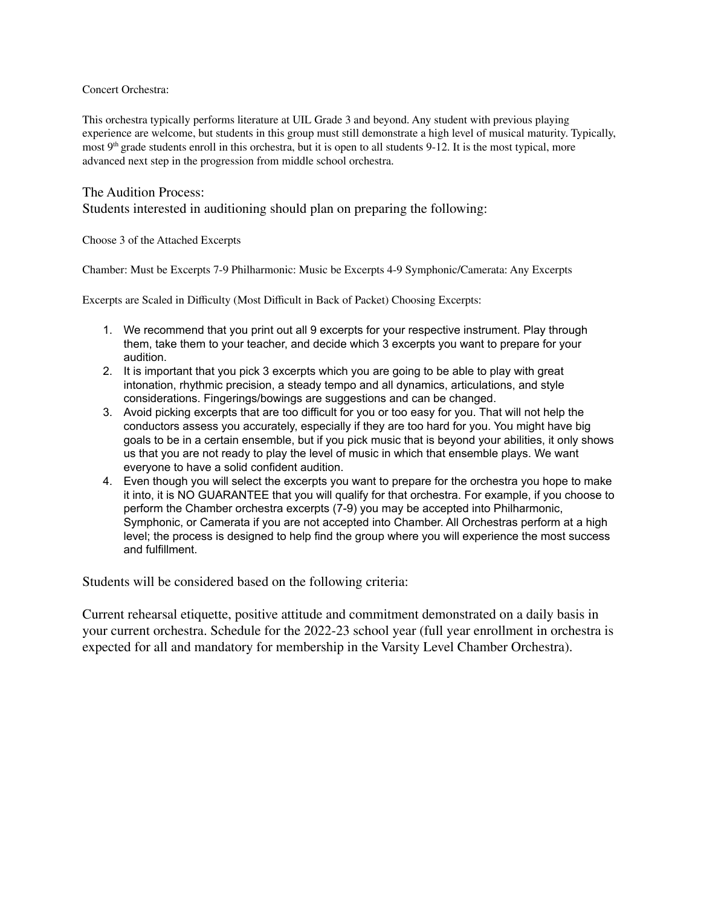#### Concert Orchestra:

This orchestra typically performs literature at UIL Grade 3 and beyond. Any student with previous playing experience are welcome, but students in this group must still demonstrate a high level of musical maturity. Typically, most  $9<sup>th</sup>$  grade students enroll in this orchestra, but it is open to all students 9-12. It is the most typical, more advanced next step in the progression from middle school orchestra.

#### The Audition Process:

Students interested in auditioning should plan on preparing the following:

Choose 3 of the Attached Excerpts

Chamber: Must be Excerpts 7-9 Philharmonic: Music be Excerpts 4-9 Symphonic/Camerata: Any Excerpts

Excerpts are Scaled in Difficulty (Most Difficult in Back of Packet) Choosing Excerpts:

- 1. We recommend that you print out all 9 excerpts for your respective instrument. Play through them, take them to your teacher, and decide which 3 excerpts you want to prepare for your audition.
- 2. It is important that you pick 3 excerpts which you are going to be able to play with great intonation, rhythmic precision, a steady tempo and all dynamics, articulations, and style considerations. Fingerings/bowings are suggestions and can be changed.
- 3. Avoid picking excerpts that are too difficult for you or too easy for you. That will not help the conductors assess you accurately, especially if they are too hard for you. You might have big goals to be in a certain ensemble, but if you pick music that is beyond your abilities, it only shows us that you are not ready to play the level of music in which that ensemble plays. We want everyone to have a solid confident audition.
- 4. Even though you will select the excerpts you want to prepare for the orchestra you hope to make it into, it is NO GUARANTEE that you will qualify for that orchestra. For example, if you choose to perform the Chamber orchestra excerpts (7-9) you may be accepted into Philharmonic, Symphonic, or Camerata if you are not accepted into Chamber. All Orchestras perform at a high level; the process is designed to help find the group where you will experience the most success and fulfillment.

Students will be considered based on the following criteria:

Current rehearsal etiquette, positive attitude and commitment demonstrated on a daily basis in your current orchestra. Schedule for the 2022-23 school year (full year enrollment in orchestra is expected for all and mandatory for membership in the Varsity Level Chamber Orchestra).